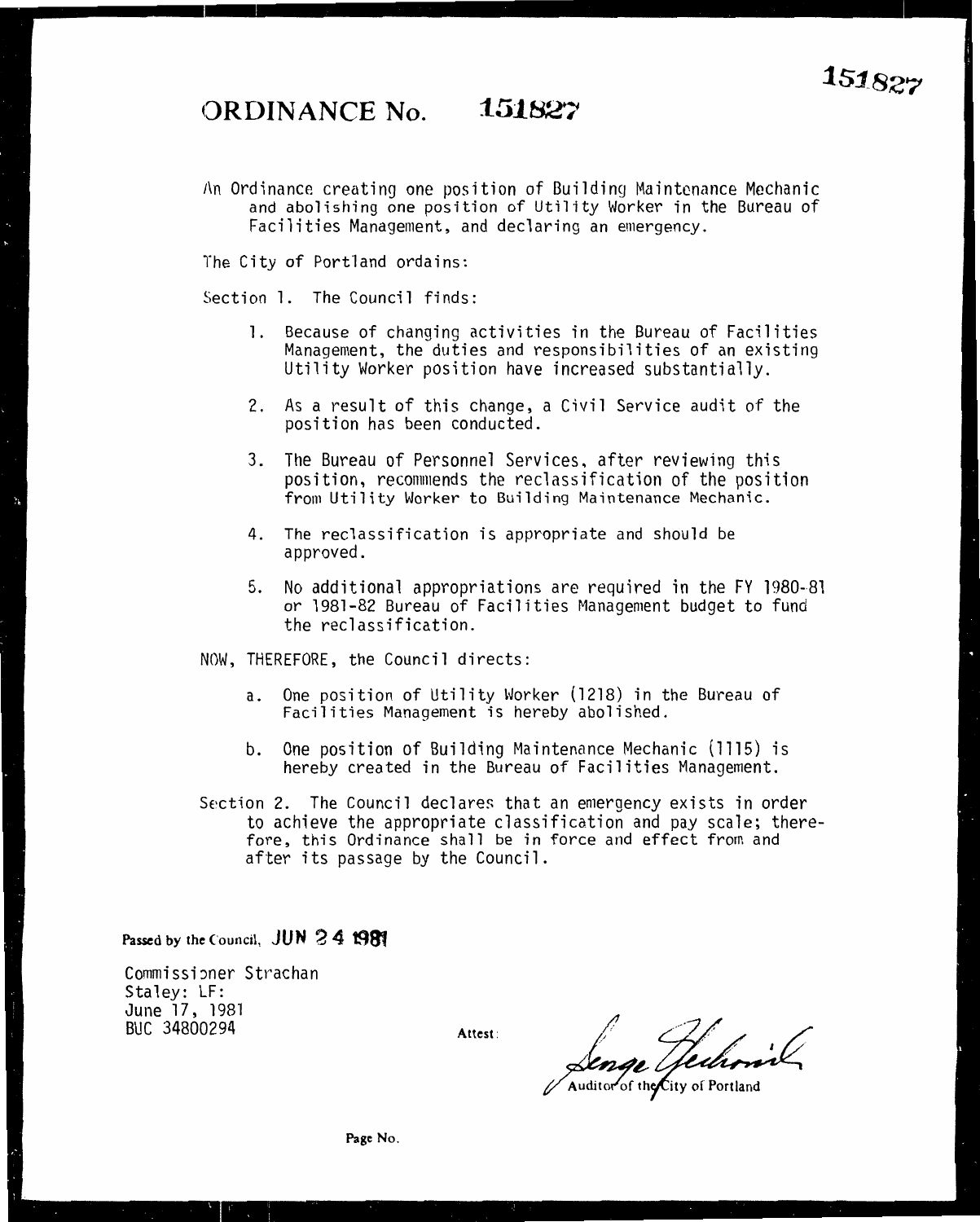## **()RI>INANCE No. 15182~~**

An Ordinance creating one position of Building Maintenance Mechanic and abolishing one position of Utility Worker in the Bureau of Facilities Management, and declaring an emergency.

The City of Portland ordains:

Section l. The Council finds:

- l. Because of changing activities in the Bureau of Facilities Management, the duties and responsibilities of an existing Utility Worker position have increased substantially.
- 2. As a result of this change, a Civil Service audit of the position has been conducted.
- 3. The Bureau of Personnel Services, after reviewing this from Utility Worker to Building Maintenance Mechanic.
- 4. The reclassification is appropriate and should be approved.
- 5. No additional appropriations are required in the FY 1980-81 or 1981-82 Bureau of Facilities Management budget to fund the reclassification.

NOW, THEREFORE, the Council directs:

- a. One position of Utility Worker (1218) in the Bureau of Facilities Management is hereby abolished.
- b. One position of Building Maintenance Mechanic (1115) is hereby created in the Bureau of Facilities Management.
- Section 2. The Council declares that an emergency exists in order fore, this Ordinance shall be in force and effect from and after its passage by the Council.

Passed by the Council, **JUN 2 4 1981** 

Commissioner Strachan Staley: LF: June 17, 1981 BUC 34800294

Attest:

Senge Hechonic